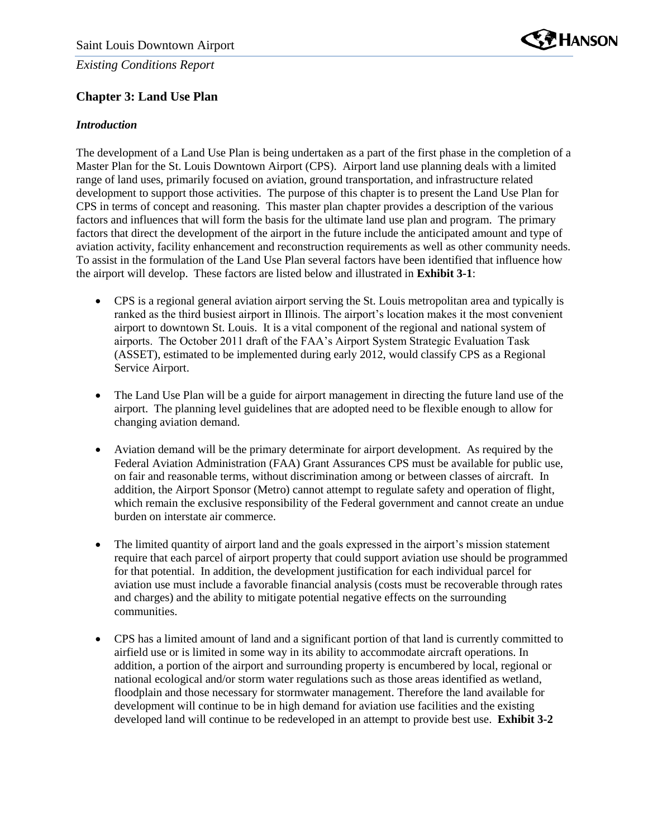

# **Chapter 3: Land Use Plan**

### *Introduction*

The development of a Land Use Plan is being undertaken as a part of the first phase in the completion of a Master Plan for the St. Louis Downtown Airport (CPS). Airport land use planning deals with a limited range of land uses, primarily focused on aviation, ground transportation, and infrastructure related development to support those activities. The purpose of this chapter is to present the Land Use Plan for CPS in terms of concept and reasoning. This master plan chapter provides a description of the various factors and influences that will form the basis for the ultimate land use plan and program. The primary factors that direct the development of the airport in the future include the anticipated amount and type of aviation activity, facility enhancement and reconstruction requirements as well as other community needs. To assist in the formulation of the Land Use Plan several factors have been identified that influence how the airport will develop. These factors are listed below and illustrated in **Exhibit 3-1**:

- CPS is a regional general aviation airport serving the St. Louis metropolitan area and typically is ranked as the third busiest airport in Illinois. The airport's location makes it the most convenient airport to downtown St. Louis. It is a vital component of the regional and national system of airports. The October 2011 draft of the FAA's Airport System Strategic Evaluation Task (ASSET), estimated to be implemented during early 2012, would classify CPS as a Regional Service Airport.
- The Land Use Plan will be a guide for airport management in directing the future land use of the airport. The planning level guidelines that are adopted need to be flexible enough to allow for changing aviation demand.
- Aviation demand will be the primary determinate for airport development. As required by the Federal Aviation Administration (FAA) Grant Assurances CPS must be available for public use, on fair and reasonable terms, without discrimination among or between classes of aircraft. In addition, the Airport Sponsor (Metro) cannot attempt to regulate safety and operation of flight, which remain the exclusive responsibility of the Federal government and cannot create an undue burden on interstate air commerce.
- The limited quantity of airport land and the goals expressed in the airport's mission statement require that each parcel of airport property that could support aviation use should be programmed for that potential. In addition, the development justification for each individual parcel for aviation use must include a favorable financial analysis (costs must be recoverable through rates and charges) and the ability to mitigate potential negative effects on the surrounding communities.
- CPS has a limited amount of land and a significant portion of that land is currently committed to airfield use or is limited in some way in its ability to accommodate aircraft operations. In addition, a portion of the airport and surrounding property is encumbered by local, regional or national ecological and/or storm water regulations such as those areas identified as wetland, floodplain and those necessary for stormwater management. Therefore the land available for development will continue to be in high demand for aviation use facilities and the existing developed land will continue to be redeveloped in an attempt to provide best use. **Exhibit 3-2**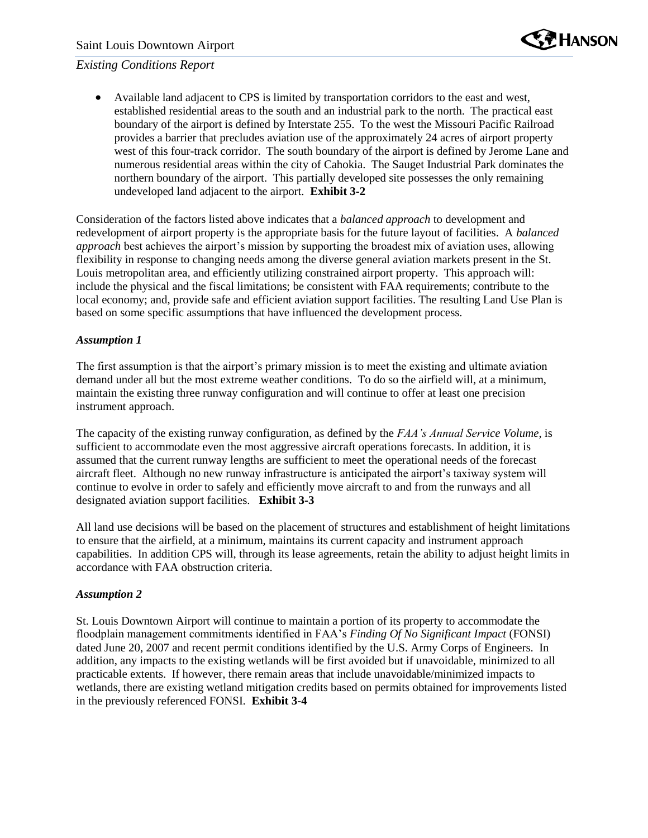

 Available land adjacent to CPS is limited by transportation corridors to the east and west, established residential areas to the south and an industrial park to the north. The practical east boundary of the airport is defined by Interstate 255. To the west the Missouri Pacific Railroad provides a barrier that precludes aviation use of the approximately 24 acres of airport property west of this four-track corridor. The south boundary of the airport is defined by Jerome Lane and numerous residential areas within the city of Cahokia. The Sauget Industrial Park dominates the northern boundary of the airport. This partially developed site possesses the only remaining undeveloped land adjacent to the airport. **Exhibit 3-2**

Consideration of the factors listed above indicates that a *balanced approach* to development and redevelopment of airport property is the appropriate basis for the future layout of facilities. A *balanced approach* best achieves the airport's mission by supporting the broadest mix of aviation uses, allowing flexibility in response to changing needs among the diverse general aviation markets present in the St. Louis metropolitan area, and efficiently utilizing constrained airport property. This approach will: include the physical and the fiscal limitations; be consistent with FAA requirements; contribute to the local economy; and, provide safe and efficient aviation support facilities. The resulting Land Use Plan is based on some specific assumptions that have influenced the development process.

#### *Assumption 1*

The first assumption is that the airport's primary mission is to meet the existing and ultimate aviation demand under all but the most extreme weather conditions. To do so the airfield will, at a minimum, maintain the existing three runway configuration and will continue to offer at least one precision instrument approach.

The capacity of the existing runway configuration, as defined by the *FAA's Annual Service Volume*, is sufficient to accommodate even the most aggressive aircraft operations forecasts. In addition, it is assumed that the current runway lengths are sufficient to meet the operational needs of the forecast aircraft fleet. Although no new runway infrastructure is anticipated the airport's taxiway system will continue to evolve in order to safely and efficiently move aircraft to and from the runways and all designated aviation support facilities. **Exhibit 3-3**

All land use decisions will be based on the placement of structures and establishment of height limitations to ensure that the airfield, at a minimum, maintains its current capacity and instrument approach capabilities. In addition CPS will, through its lease agreements, retain the ability to adjust height limits in accordance with FAA obstruction criteria.

#### *Assumption 2*

St. Louis Downtown Airport will continue to maintain a portion of its property to accommodate the floodplain management commitments identified in FAA's *Finding Of No Significant Impact* (FONSI) dated June 20, 2007 and recent permit conditions identified by the U.S. Army Corps of Engineers. In addition, any impacts to the existing wetlands will be first avoided but if unavoidable, minimized to all practicable extents. If however, there remain areas that include unavoidable/minimized impacts to wetlands, there are existing wetland mitigation credits based on permits obtained for improvements listed in the previously referenced FONSI. **Exhibit 3-4**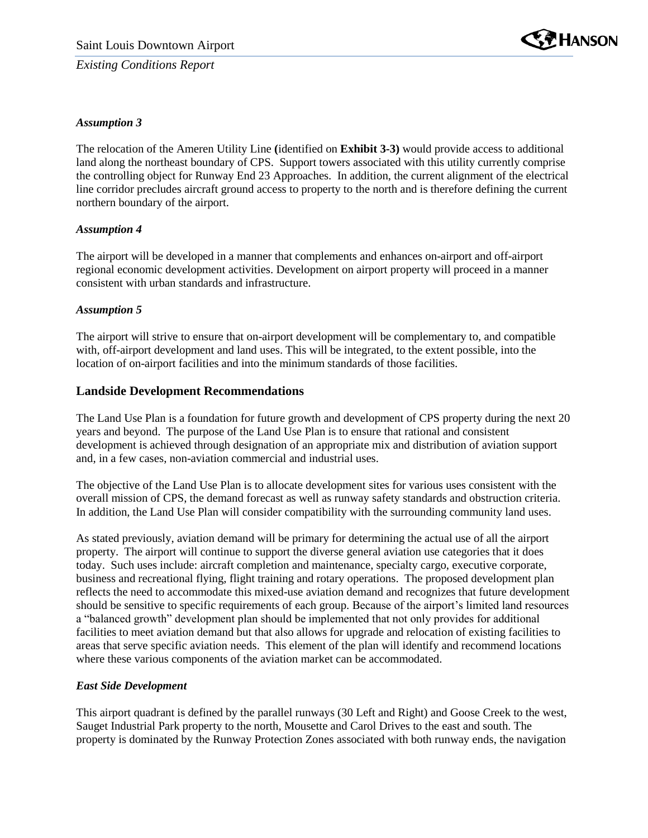

### *Assumption 3*

The relocation of the Ameren Utility Line **(**identified on **Exhibit 3-3)** would provide access to additional land along the northeast boundary of CPS. Support towers associated with this utility currently comprise the controlling object for Runway End 23 Approaches. In addition, the current alignment of the electrical line corridor precludes aircraft ground access to property to the north and is therefore defining the current northern boundary of the airport.

#### *Assumption 4*

The airport will be developed in a manner that complements and enhances on-airport and off-airport regional economic development activities. Development on airport property will proceed in a manner consistent with urban standards and infrastructure.

#### *Assumption 5*

The airport will strive to ensure that on-airport development will be complementary to, and compatible with, off-airport development and land uses. This will be integrated, to the extent possible, into the location of on-airport facilities and into the minimum standards of those facilities.

### **Landside Development Recommendations**

The Land Use Plan is a foundation for future growth and development of CPS property during the next 20 years and beyond. The purpose of the Land Use Plan is to ensure that rational and consistent development is achieved through designation of an appropriate mix and distribution of aviation support and, in a few cases, non-aviation commercial and industrial uses.

The objective of the Land Use Plan is to allocate development sites for various uses consistent with the overall mission of CPS, the demand forecast as well as runway safety standards and obstruction criteria. In addition, the Land Use Plan will consider compatibility with the surrounding community land uses.

As stated previously, aviation demand will be primary for determining the actual use of all the airport property. The airport will continue to support the diverse general aviation use categories that it does today. Such uses include: aircraft completion and maintenance, specialty cargo, executive corporate, business and recreational flying, flight training and rotary operations. The proposed development plan reflects the need to accommodate this mixed-use aviation demand and recognizes that future development should be sensitive to specific requirements of each group. Because of the airport's limited land resources a "balanced growth" development plan should be implemented that not only provides for additional facilities to meet aviation demand but that also allows for upgrade and relocation of existing facilities to areas that serve specific aviation needs. This element of the plan will identify and recommend locations where these various components of the aviation market can be accommodated.

#### *East Side Development*

This airport quadrant is defined by the parallel runways (30 Left and Right) and Goose Creek to the west, Sauget Industrial Park property to the north, Mousette and Carol Drives to the east and south. The property is dominated by the Runway Protection Zones associated with both runway ends, the navigation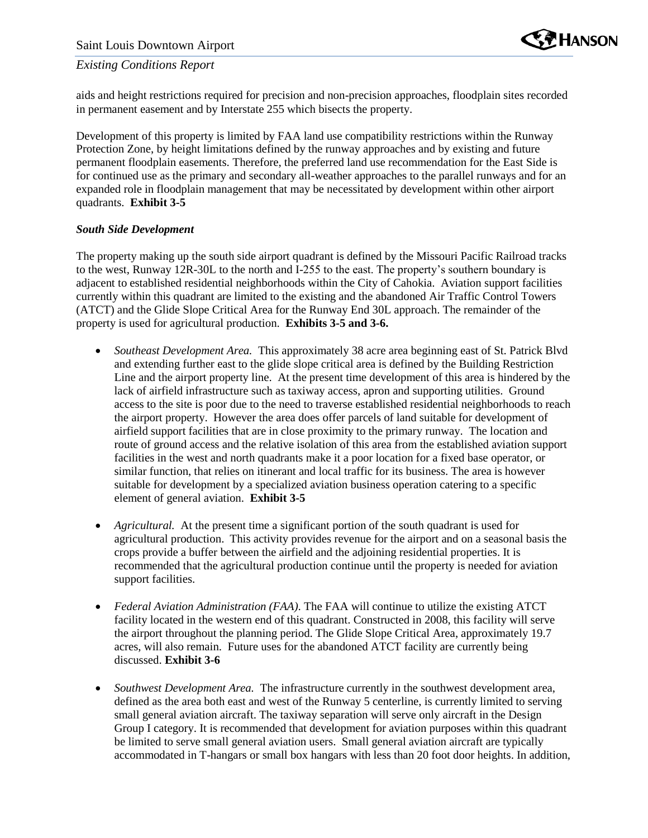

aids and height restrictions required for precision and non-precision approaches, floodplain sites recorded in permanent easement and by Interstate 255 which bisects the property.

Development of this property is limited by FAA land use compatibility restrictions within the Runway Protection Zone, by height limitations defined by the runway approaches and by existing and future permanent floodplain easements. Therefore, the preferred land use recommendation for the East Side is for continued use as the primary and secondary all-weather approaches to the parallel runways and for an expanded role in floodplain management that may be necessitated by development within other airport quadrants. **Exhibit 3-5**

#### *South Side Development*

The property making up the south side airport quadrant is defined by the Missouri Pacific Railroad tracks to the west, Runway 12R-30L to the north and I-255 to the east. The property's southern boundary is adjacent to established residential neighborhoods within the City of Cahokia. Aviation support facilities currently within this quadrant are limited to the existing and the abandoned Air Traffic Control Towers (ATCT) and the Glide Slope Critical Area for the Runway End 30L approach. The remainder of the property is used for agricultural production. **Exhibits 3-5 and 3-6.**

- *Southeast Development Area.* This approximately 38 acre area beginning east of St. Patrick Blvd and extending further east to the glide slope critical area is defined by the Building Restriction Line and the airport property line. At the present time development of this area is hindered by the lack of airfield infrastructure such as taxiway access, apron and supporting utilities. Ground access to the site is poor due to the need to traverse established residential neighborhoods to reach the airport property. However the area does offer parcels of land suitable for development of airfield support facilities that are in close proximity to the primary runway. The location and route of ground access and the relative isolation of this area from the established aviation support facilities in the west and north quadrants make it a poor location for a fixed base operator, or similar function, that relies on itinerant and local traffic for its business. The area is however suitable for development by a specialized aviation business operation catering to a specific element of general aviation. **Exhibit 3-5**
- *Agricultural.* At the present time a significant portion of the south quadrant is used for agricultural production. This activity provides revenue for the airport and on a seasonal basis the crops provide a buffer between the airfield and the adjoining residential properties. It is recommended that the agricultural production continue until the property is needed for aviation support facilities.
- *Federal Aviation Administration (FAA)*. The FAA will continue to utilize the existing ATCT facility located in the western end of this quadrant. Constructed in 2008, this facility will serve the airport throughout the planning period. The Glide Slope Critical Area, approximately 19.7 acres, will also remain. Future uses for the abandoned ATCT facility are currently being discussed. **Exhibit 3-6**
- *Southwest Development Area.* The infrastructure currently in the southwest development area, defined as the area both east and west of the Runway 5 centerline, is currently limited to serving small general aviation aircraft. The taxiway separation will serve only aircraft in the Design Group I category. It is recommended that development for aviation purposes within this quadrant be limited to serve small general aviation users. Small general aviation aircraft are typically accommodated in T-hangars or small box hangars with less than 20 foot door heights. In addition,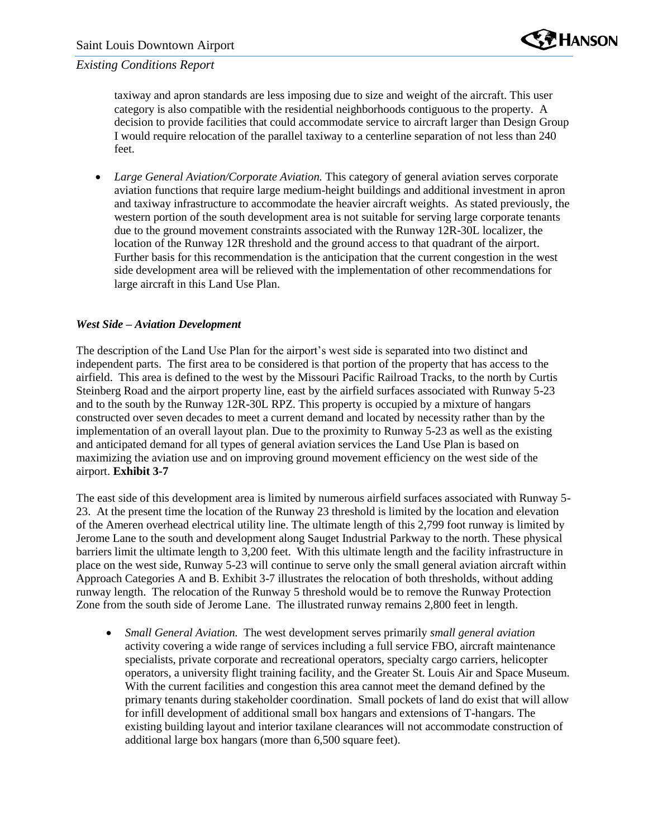taxiway and apron standards are less imposing due to size and weight of the aircraft. This user category is also compatible with the residential neighborhoods contiguous to the property. A decision to provide facilities that could accommodate service to aircraft larger than Design Group I would require relocation of the parallel taxiway to a centerline separation of not less than 240 feet.

 *Large General Aviation/Corporate Aviation.* This category of general aviation serves corporate aviation functions that require large medium-height buildings and additional investment in apron and taxiway infrastructure to accommodate the heavier aircraft weights. As stated previously, the western portion of the south development area is not suitable for serving large corporate tenants due to the ground movement constraints associated with the Runway 12R-30L localizer, the location of the Runway 12R threshold and the ground access to that quadrant of the airport. Further basis for this recommendation is the anticipation that the current congestion in the west side development area will be relieved with the implementation of other recommendations for large aircraft in this Land Use Plan.

#### *West Side – Aviation Development*

The description of the Land Use Plan for the airport's west side is separated into two distinct and independent parts. The first area to be considered is that portion of the property that has access to the airfield. This area is defined to the west by the Missouri Pacific Railroad Tracks, to the north by Curtis Steinberg Road and the airport property line, east by the airfield surfaces associated with Runway 5-23 and to the south by the Runway 12R-30L RPZ. This property is occupied by a mixture of hangars constructed over seven decades to meet a current demand and located by necessity rather than by the implementation of an overall layout plan. Due to the proximity to Runway 5-23 as well as the existing and anticipated demand for all types of general aviation services the Land Use Plan is based on maximizing the aviation use and on improving ground movement efficiency on the west side of the airport. **Exhibit 3-7**

The east side of this development area is limited by numerous airfield surfaces associated with Runway 5- 23. At the present time the location of the Runway 23 threshold is limited by the location and elevation of the Ameren overhead electrical utility line. The ultimate length of this 2,799 foot runway is limited by Jerome Lane to the south and development along Sauget Industrial Parkway to the north. These physical barriers limit the ultimate length to 3,200 feet. With this ultimate length and the facility infrastructure in place on the west side, Runway 5-23 will continue to serve only the small general aviation aircraft within Approach Categories A and B. Exhibit 3-7 illustrates the relocation of both thresholds, without adding runway length. The relocation of the Runway 5 threshold would be to remove the Runway Protection Zone from the south side of Jerome Lane. The illustrated runway remains 2,800 feet in length.

 *Small General Aviation.* The west development serves primarily *small general aviation* activity covering a wide range of services including a full service FBO, aircraft maintenance specialists, private corporate and recreational operators, specialty cargo carriers, helicopter operators, a university flight training facility, and the Greater St. Louis Air and Space Museum. With the current facilities and congestion this area cannot meet the demand defined by the primary tenants during stakeholder coordination. Small pockets of land do exist that will allow for infill development of additional small box hangars and extensions of T-hangars. The existing building layout and interior taxilane clearances will not accommodate construction of additional large box hangars (more than 6,500 square feet).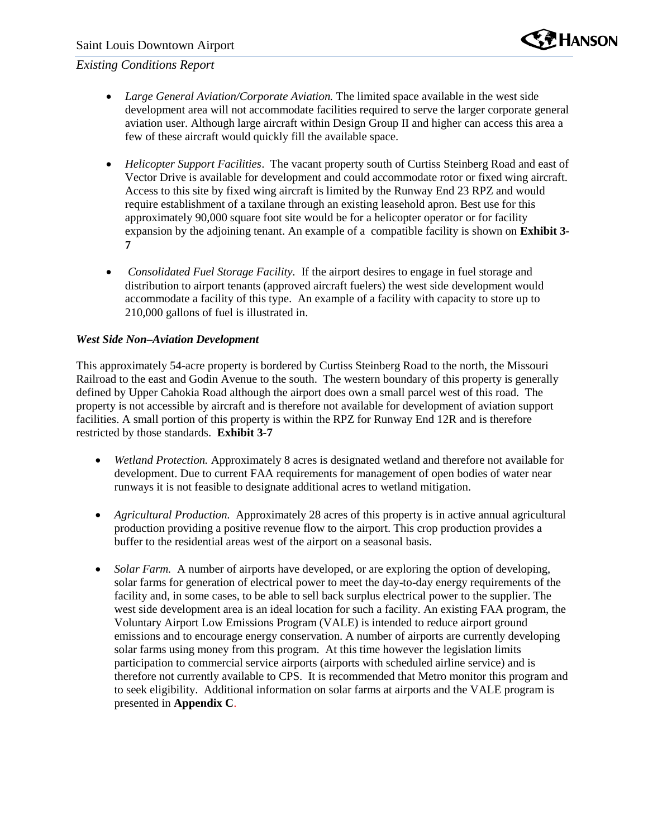

- *Large General Aviation/Corporate Aviation.* The limited space available in the west side development area will not accommodate facilities required to serve the larger corporate general aviation user. Although large aircraft within Design Group II and higher can access this area a few of these aircraft would quickly fill the available space.
- *Helicopter Support Facilities*. The vacant property south of Curtiss Steinberg Road and east of Vector Drive is available for development and could accommodate rotor or fixed wing aircraft. Access to this site by fixed wing aircraft is limited by the Runway End 23 RPZ and would require establishment of a taxilane through an existing leasehold apron. Best use for this approximately 90,000 square foot site would be for a helicopter operator or for facility expansion by the adjoining tenant. An example of a compatible facility is shown on **Exhibit 3- 7**
- *Consolidated Fuel Storage Facility.* If the airport desires to engage in fuel storage and distribution to airport tenants (approved aircraft fuelers) the west side development would accommodate a facility of this type. An example of a facility with capacity to store up to 210,000 gallons of fuel is illustrated in.

#### *West Side Non–Aviation Development*

This approximately 54-acre property is bordered by Curtiss Steinberg Road to the north, the Missouri Railroad to the east and Godin Avenue to the south. The western boundary of this property is generally defined by Upper Cahokia Road although the airport does own a small parcel west of this road. The property is not accessible by aircraft and is therefore not available for development of aviation support facilities. A small portion of this property is within the RPZ for Runway End 12R and is therefore restricted by those standards. **Exhibit 3-7**

- *Wetland Protection.* Approximately 8 acres is designated wetland and therefore not available for development. Due to current FAA requirements for management of open bodies of water near runways it is not feasible to designate additional acres to wetland mitigation.
- *Agricultural Production.* Approximately 28 acres of this property is in active annual agricultural production providing a positive revenue flow to the airport. This crop production provides a buffer to the residential areas west of the airport on a seasonal basis.
- *Solar Farm.* A number of airports have developed, or are exploring the option of developing, solar farms for generation of electrical power to meet the day-to-day energy requirements of the facility and, in some cases, to be able to sell back surplus electrical power to the supplier. The west side development area is an ideal location for such a facility. An existing FAA program, the Voluntary Airport Low Emissions Program (VALE) is intended to reduce airport ground emissions and to encourage energy conservation. A number of airports are currently developing solar farms using money from this program. At this time however the legislation limits participation to commercial service airports (airports with scheduled airline service) and is therefore not currently available to CPS. It is recommended that Metro monitor this program and to seek eligibility. Additional information on solar farms at airports and the VALE program is presented in **Appendix C**.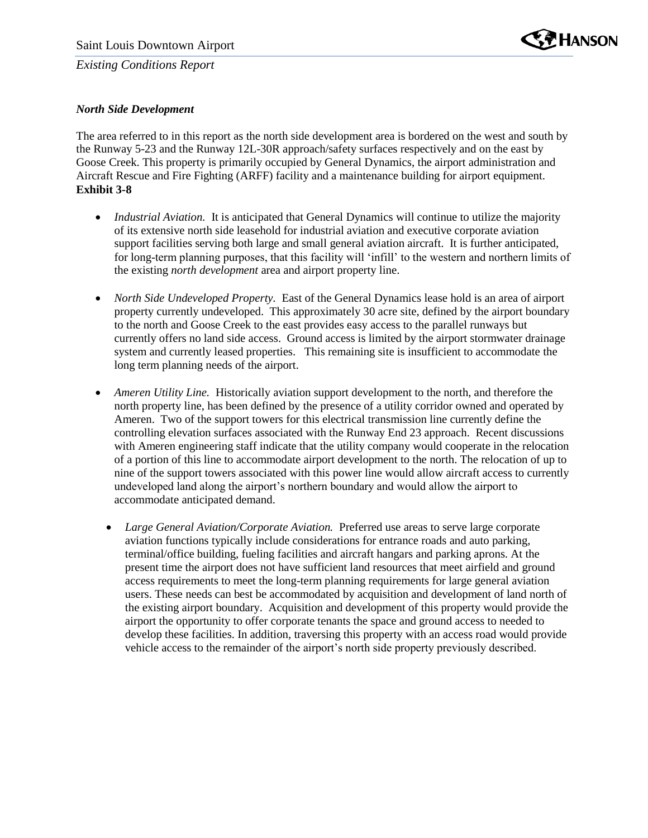

### *North Side Development*

The area referred to in this report as the north side development area is bordered on the west and south by the Runway 5-23 and the Runway 12L-30R approach/safety surfaces respectively and on the east by Goose Creek. This property is primarily occupied by General Dynamics, the airport administration and Aircraft Rescue and Fire Fighting (ARFF) facility and a maintenance building for airport equipment. **Exhibit 3-8**

- *Industrial Aviation.* It is anticipated that General Dynamics will continue to utilize the majority of its extensive north side leasehold for industrial aviation and executive corporate aviation support facilities serving both large and small general aviation aircraft. It is further anticipated, for long-term planning purposes, that this facility will 'infill' to the western and northern limits of the existing *north development* area and airport property line.
- *North Side Undeveloped Property.* East of the General Dynamics lease hold is an area of airport property currently undeveloped. This approximately 30 acre site, defined by the airport boundary to the north and Goose Creek to the east provides easy access to the parallel runways but currently offers no land side access. Ground access is limited by the airport stormwater drainage system and currently leased properties. This remaining site is insufficient to accommodate the long term planning needs of the airport.
- *Ameren Utility Line.* Historically aviation support development to the north, and therefore the north property line, has been defined by the presence of a utility corridor owned and operated by Ameren. Two of the support towers for this electrical transmission line currently define the controlling elevation surfaces associated with the Runway End 23 approach. Recent discussions with Ameren engineering staff indicate that the utility company would cooperate in the relocation of a portion of this line to accommodate airport development to the north. The relocation of up to nine of the support towers associated with this power line would allow aircraft access to currently undeveloped land along the airport's northern boundary and would allow the airport to accommodate anticipated demand.
	- Large General Aviation/Corporate Aviation. Preferred use areas to serve large corporate aviation functions typically include considerations for entrance roads and auto parking, terminal/office building, fueling facilities and aircraft hangars and parking aprons. At the present time the airport does not have sufficient land resources that meet airfield and ground access requirements to meet the long-term planning requirements for large general aviation users. These needs can best be accommodated by acquisition and development of land north of the existing airport boundary. Acquisition and development of this property would provide the airport the opportunity to offer corporate tenants the space and ground access to needed to develop these facilities. In addition, traversing this property with an access road would provide vehicle access to the remainder of the airport's north side property previously described.